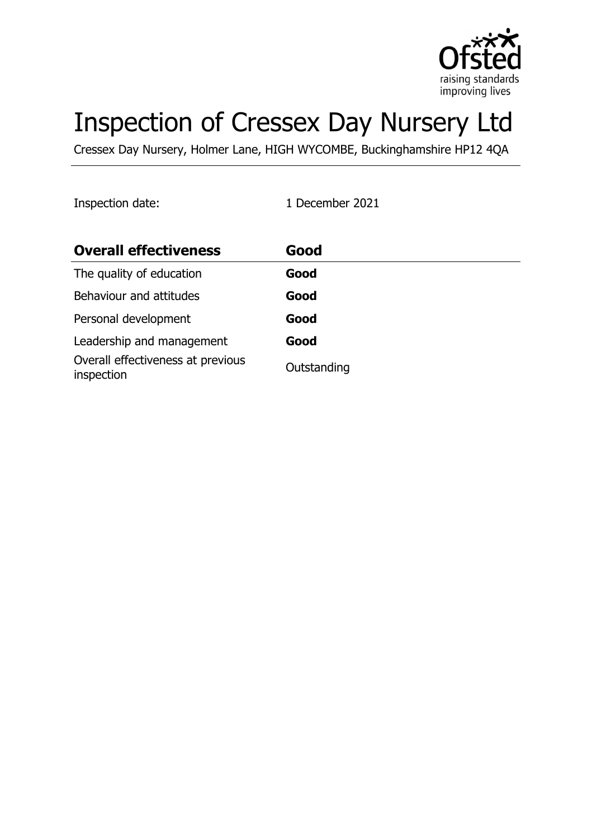

# Inspection of Cressex Day Nursery Ltd

Cressex Day Nursery, Holmer Lane, HIGH WYCOMBE, Buckinghamshire HP12 4QA

Inspection date: 1 December 2021

| <b>Overall effectiveness</b>                    | Good        |
|-------------------------------------------------|-------------|
| The quality of education                        | Good        |
| Behaviour and attitudes                         | Good        |
| Personal development                            | Good        |
| Leadership and management                       | Good        |
| Overall effectiveness at previous<br>inspection | Outstanding |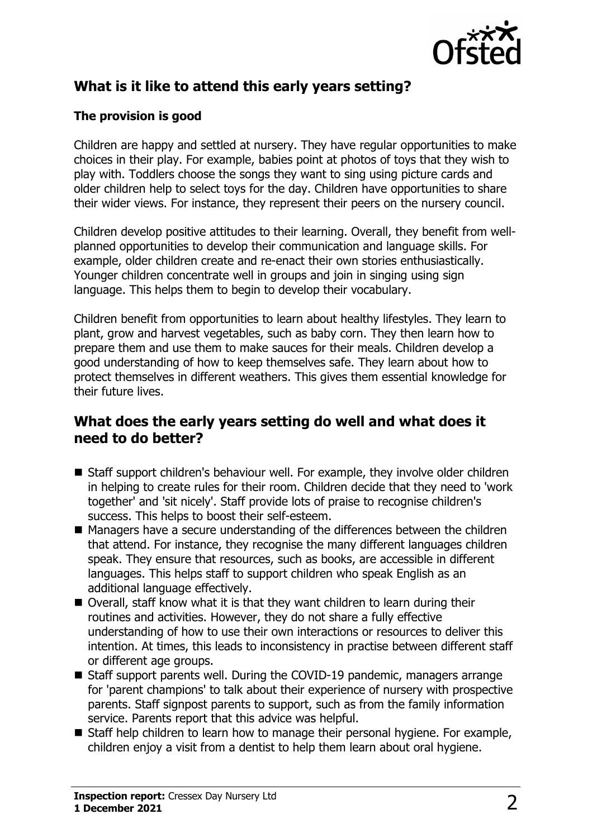

# **What is it like to attend this early years setting?**

#### **The provision is good**

Children are happy and settled at nursery. They have regular opportunities to make choices in their play. For example, babies point at photos of toys that they wish to play with. Toddlers choose the songs they want to sing using picture cards and older children help to select toys for the day. Children have opportunities to share their wider views. For instance, they represent their peers on the nursery council.

Children develop positive attitudes to their learning. Overall, they benefit from wellplanned opportunities to develop their communication and language skills. For example, older children create and re-enact their own stories enthusiastically. Younger children concentrate well in groups and join in singing using sign language. This helps them to begin to develop their vocabulary.

Children benefit from opportunities to learn about healthy lifestyles. They learn to plant, grow and harvest vegetables, such as baby corn. They then learn how to prepare them and use them to make sauces for their meals. Children develop a good understanding of how to keep themselves safe. They learn about how to protect themselves in different weathers. This gives them essential knowledge for their future lives.

#### **What does the early years setting do well and what does it need to do better?**

- Staff support children's behaviour well. For example, they involve older children in helping to create rules for their room. Children decide that they need to 'work together' and 'sit nicely'. Staff provide lots of praise to recognise children's success. This helps to boost their self-esteem.
- $\blacksquare$  Managers have a secure understanding of the differences between the children that attend. For instance, they recognise the many different languages children speak. They ensure that resources, such as books, are accessible in different languages. This helps staff to support children who speak English as an additional language effectively.
- Overall, staff know what it is that they want children to learn during their routines and activities. However, they do not share a fully effective understanding of how to use their own interactions or resources to deliver this intention. At times, this leads to inconsistency in practise between different staff or different age groups.
- Staff support parents well. During the COVID-19 pandemic, managers arrange for 'parent champions' to talk about their experience of nursery with prospective parents. Staff signpost parents to support, such as from the family information service. Parents report that this advice was helpful.
- $\blacksquare$  Staff help children to learn how to manage their personal hygiene. For example, children enjoy a visit from a dentist to help them learn about oral hygiene.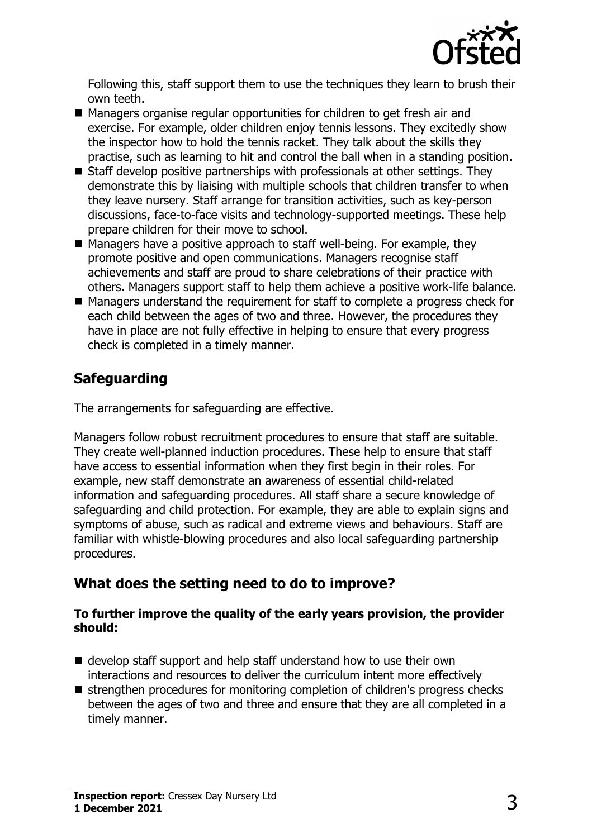

Following this, staff support them to use the techniques they learn to brush their own teeth.

- Managers organise regular opportunities for children to get fresh air and exercise. For example, older children enjoy tennis lessons. They excitedly show the inspector how to hold the tennis racket. They talk about the skills they practise, such as learning to hit and control the ball when in a standing position.
- $\blacksquare$  Staff develop positive partnerships with professionals at other settings. They demonstrate this by liaising with multiple schools that children transfer to when they leave nursery. Staff arrange for transition activities, such as key-person discussions, face-to-face visits and technology-supported meetings. These help prepare children for their move to school.
- $\blacksquare$  Managers have a positive approach to staff well-being. For example, they promote positive and open communications. Managers recognise staff achievements and staff are proud to share celebrations of their practice with others. Managers support staff to help them achieve a positive work-life balance.
- $\blacksquare$  Managers understand the requirement for staff to complete a progress check for each child between the ages of two and three. However, the procedures they have in place are not fully effective in helping to ensure that every progress check is completed in a timely manner.

# **Safeguarding**

The arrangements for safeguarding are effective.

Managers follow robust recruitment procedures to ensure that staff are suitable. They create well-planned induction procedures. These help to ensure that staff have access to essential information when they first begin in their roles. For example, new staff demonstrate an awareness of essential child-related information and safeguarding procedures. All staff share a secure knowledge of safeguarding and child protection. For example, they are able to explain signs and symptoms of abuse, such as radical and extreme views and behaviours. Staff are familiar with whistle-blowing procedures and also local safeguarding partnership procedures.

# **What does the setting need to do to improve?**

#### **To further improve the quality of the early years provision, the provider should:**

- $\blacksquare$  develop staff support and help staff understand how to use their own interactions and resources to deliver the curriculum intent more effectively
- $\blacksquare$  strengthen procedures for monitoring completion of children's progress checks between the ages of two and three and ensure that they are all completed in a timely manner.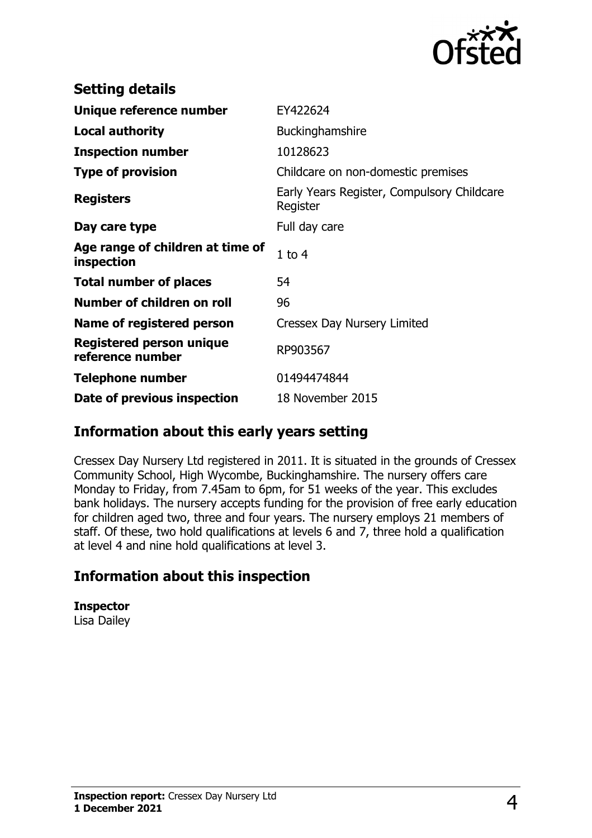

| <b>Setting details</b>                         |                                                        |
|------------------------------------------------|--------------------------------------------------------|
| Unique reference number                        | EY422624                                               |
| <b>Local authority</b>                         | Buckinghamshire                                        |
| <b>Inspection number</b>                       | 10128623                                               |
| <b>Type of provision</b>                       | Childcare on non-domestic premises                     |
| <b>Registers</b>                               | Early Years Register, Compulsory Childcare<br>Register |
| Day care type                                  | Full day care                                          |
| Age range of children at time of<br>inspection | $1$ to $4$                                             |
| <b>Total number of places</b>                  | 54                                                     |
| Number of children on roll                     | 96                                                     |
| Name of registered person                      | Cressex Day Nursery Limited                            |
| Registered person unique<br>reference number   | RP903567                                               |
| <b>Telephone number</b>                        | 01494474844                                            |
| Date of previous inspection                    | 18 November 2015                                       |

### **Information about this early years setting**

Cressex Day Nursery Ltd registered in 2011. It is situated in the grounds of Cressex Community School, High Wycombe, Buckinghamshire. The nursery offers care Monday to Friday, from 7.45am to 6pm, for 51 weeks of the year. This excludes bank holidays. The nursery accepts funding for the provision of free early education for children aged two, three and four years. The nursery employs 21 members of staff. Of these, two hold qualifications at levels 6 and 7, three hold a qualification at level 4 and nine hold qualifications at level 3.

# **Information about this inspection**

**Inspector** Lisa Dailey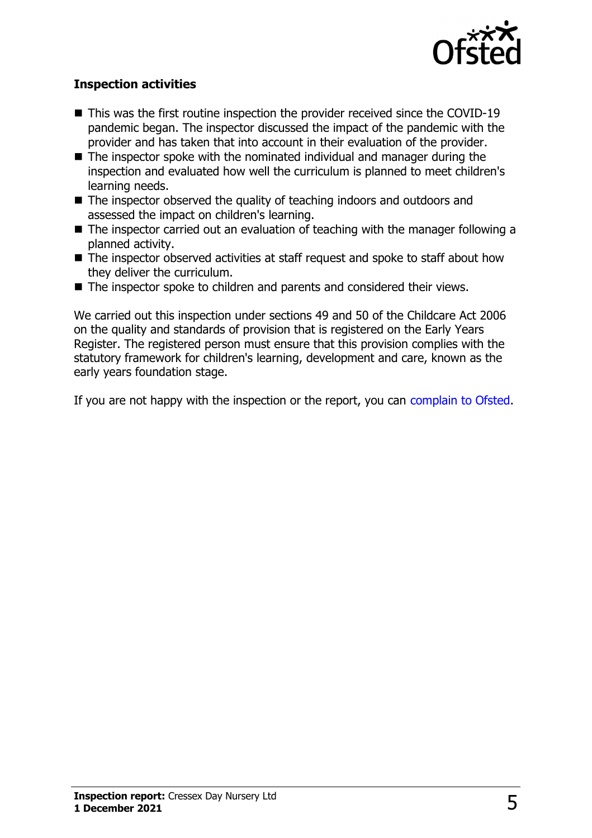

#### **Inspection activities**

- $\blacksquare$  This was the first routine inspection the provider received since the COVID-19 pandemic began. The inspector discussed the impact of the pandemic with the provider and has taken that into account in their evaluation of the provider.
- $\blacksquare$  The inspector spoke with the nominated individual and manager during the inspection and evaluated how well the curriculum is planned to meet children's learning needs.
- $\blacksquare$  The inspector observed the quality of teaching indoors and outdoors and assessed the impact on children's learning.
- $\blacksquare$  The inspector carried out an evaluation of teaching with the manager following a planned activity.
- $\blacksquare$  The inspector observed activities at staff request and spoke to staff about how they deliver the curriculum.
- $\blacksquare$  The inspector spoke to children and parents and considered their views.

We carried out this inspection under sections 49 and 50 of the Childcare Act 2006 on the quality and standards of provision that is registered on the Early Years Register. The registered person must ensure that this provision complies with the statutory framework for children's learning, development and care, known as the early years foundation stage.

If you are not happy with the inspection or the report, you can [complain to Ofsted](http://www.gov.uk/complain-ofsted-report).